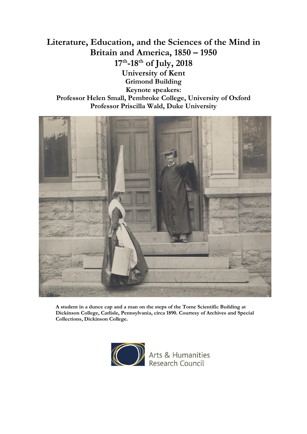# **Literature, Education, and the Sciences of the Mind in Britain and America, 1850 – 1950 17th -18th of July, 2018 University of Kent Grimond Building Keynote speakers: Professor Helen Small, Pembroke College, University of Oxford Professor Priscilla Wald, Duke University**



**A student in a dunce cap and a man on the steps of the Tome Scientific Building at Dickinson College, Carlisle, Pennsylvania, circa 1890. Courtesy of Archives and Special Collections, Dickinson College.**

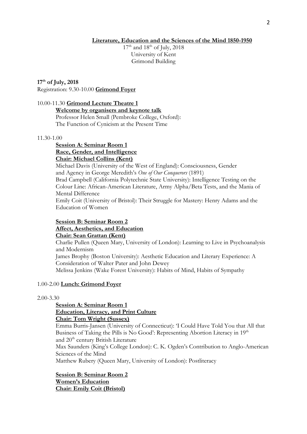## **Literature, Education and the Sciences of the Mind 1850-1950**

 $17<sup>th</sup>$  and  $18<sup>th</sup>$  of July, 2018 University of Kent Grimond Building

# **17th of July, 2018**

Registration: 9.30-10.00 **Grimond Foyer**

## 10.00-11.30 **Grimond Lecture Theatre 1**

**Welcome by organisers and keynote talk** Professor Helen Small (Pembroke College, Oxford):

The Function of Cynicism at the Present Time

## 11.30-1.00

# **Session A: Seminar Room 1 Race, Gender, and Intelligence Chair: Michael Collins (Kent)**

Michael Davis (University of the West of England): Consciousness, Gender and Agency in George Meredith's *One of Our Conquerors* (1891) Brad Campbell (California Polytechnic State University): Intelligence Testing on the Colour Line: African-American Literature, Army Alpha/Beta Tests, and the Mania of Mental Difference Emily Coit (University of Bristol): Their Struggle for Mastery: Henry Adams and the Education of Women

# **Session B: Seminar Room 2**

# **Affect, Aesthetics, and Education**

**Chair: Sean Grattan (Kent)**

Charlie Pullen (Queen Mary, University of London): Learning to Live in Psychoanalysis and Modernism

James Brophy (Boston University): Aesthetic Education and Literary Experience: A Consideration of Walter Pater and John Dewey

Melissa Jenkins (Wake Forest University): Habits of Mind, Habits of Sympathy

# 1.00-2.00 **Lunch: Grimond Foyer**

## 2.00-3.30

# **Session A: Seminar Room 1 Education, Literacy, and Print Culture**

# **Chair: Tom Wright (Sussex)**

Emma Burris-Jansen (University of Connecticut): 'I Could Have Told You that All that Business of Taking the Pills is No Good': Representing Abortion Literacy in 19th and 20<sup>th</sup> century British Literature Max Saunders (King's College London): C. K. Ogden's Contribution to Anglo-American

Sciences of the Mind

Matthew Rubery (Queen Mary, University of London): Postliteracy

## **Session B: Seminar Room 2 Women's Education Chair: Emily Coit (Bristol)**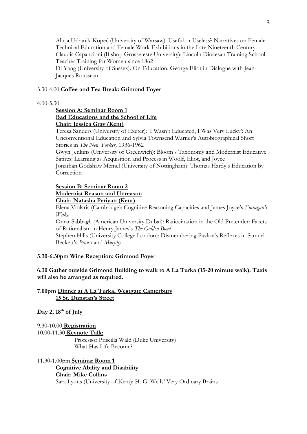Alicja Urbanik-Kopeć (University of Warsaw): Useful or Useless? Narratives on Female Technical Education and Female Work Exhibitions in the Late Nineteenth Century Claudia Capancioni (Bishop Grosseteste University): Lincoln Diocesan Training School: Teacher Training for Women since 1862

Di Yang (University of Sussex): On Education: George Eliot in Dialogue with Jean-Jacques Rousseau

## 3.30-4.00 **Coffee and Tea Break: Grimond Foyer**

#### 4.00-5.30

# **Session A: Seminar Room 1 Bad Educations and the School of Life Chair: Jessica Gray (Kent)**

Teresa Sanders (University of Exeter): 'I Wasn't Educated, I Was Very Lucky': An Unconventional Education and Sylvia Townsend Warner's Autobiographical Short Stories in *The New Yorker,* 1936-1962

Gwyn Jenkins (University of Greenwich): Bloom's Taxonomy and Modernist Educative Satires: Learning as Acquisition and Process in Woolf, Eliot, and Joyce

Jonathan Godshaw Memel (University of Nottingham): Thomas Hardy's Education by Correction

## **Session B: Seminar Room 2 Modernist Reason and Unreason Chair: Natasha Periyan (Kent)**

Elena Violaris (Cambridge): Cognitive Reasoning Capacities and James Joyce's *Finnegan's Wake*

Omar Sabbagh (American University Dubai): Ratiocination in the Old Pretender: Facets of Rationalism in Henry James's *The Golden Bowl*

Stephen Hills (University College London): Dismembering Pavlov's Reflexes in Samuel Beckett's *Proust* and *Murphy*

# **5.30-6.30pm Wine Reception: Grimond Foyer**

**6.30 Gather outside Grimond Building to walk to A La Turka (15-20 minute walk). Taxis will also be arranged as required.** 

**7.00pm Dinner at A La Turka, Westgate Canterbury 15 St. Dunstan's Street**

**Day 2, 18th of July**

9.30-10.00 **Registration** 10.00-11.30 **Keynote Talk:**  Professor Priscilla Wald (Duke University) What Has Life Become?

11.30-1.00pm **Seminar Room 1 Cognitive Ability and Disability Chair: Mike Collins** Sara Lyons (University of Kent): H. G. Wells' Very Ordinary Brains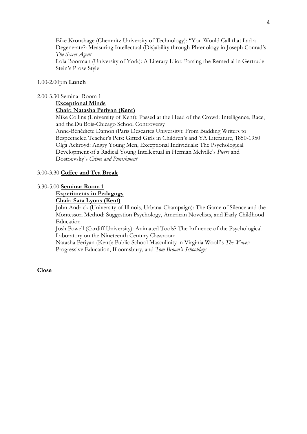Eike Kronshage (Chemnitz University of Technology): "You Would Call that Lad a Degenerate?: Measuring Intellectual (Dis)ability through Phrenology in Joseph Conrad's *The Secret Agent*

Lola Boorman (University of York): A Literary Idiot: Parsing the Remedial in Gertrude Stein's Prose Style

## 1.00-2.00pm **Lunch**

2.00-3.30 Seminar Room 1

# **Exceptional Minds**

# **Chair: Natasha Periyan (Kent)**

Mike Collins (University of Kent): Passed at the Head of the Crowd: Intelligence, Race, and theDu Bois-Chicago School Controversy

Anne-Bénédicte Damon (Paris Descartes University): From Budding Writers to Bespectacled Teacher's Pets: Gifted Girls in Children's and YA Literature, 1850-1950 Olga Ackroyd: Angry Young Men, Exceptional Individuals: The Psychological Development of a Radical Young Intellectual in Herman Melville's *Pierre* and Dostoevsky's *Crime and Punishment*

## 3.00-3.30 **Coffee and Tea Break**

#### 3.30-5.00 **Seminar Room 1**

# **Experiments in Pedagogy**

# **Chair: Sara Lyons (Kent)**

John Andrick (University of Illinois, Urbana-Champaign): The Game of Silence and the Montessori Method: Suggestion Psychology, American Novelists, and Early Childhood Education

Josh Powell (Cardiff University): Animated Tools? The Influence of the Psychological Laboratory on the Nineteenth Century Classroom

Natasha Periyan (Kent): Public School Masculinity in Virginia Woolf's *The Waves:*  Progressive Education, Bloomsbury, and *Tom Brown's Schooldays*

## **Close**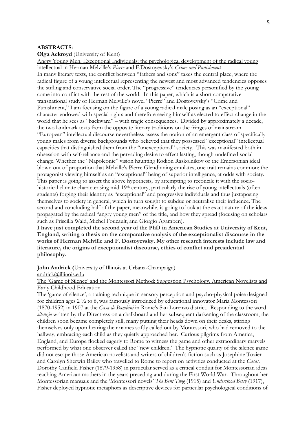#### **ABSTRACTS:**

**Olga Ackroyd** (University of Kent)

Angry Young Men, Exceptional Individuals: the psychological development of the radical young intellectual in Herman Melville's *Pierre* and F.Dostoyevsky's *Crime and Punishment* In many literary texts, the conflict between "fathers and sons" takes the central place, where the radical figure of a young intellectual representing the newest and most advanced tendencies opposes the stifling and conservative social order. The "progressive" tendencies personified by the young come into conflict with the rest of the world. In this paper, which is a short comparative transnational study of Herman Melville's novel "Pierre" and Dostoyevsky's "Crime and Punishment," I am focusing on the figure of a young radical male posing as an "exceptional" character endowed with special rights and therefore seeing himself as elected to effect change in the world that he sees as "backward" – with tragic consequences. Divided by approximately a decade, the two landmark texts from the opposite literary traditions on the fringes of mainstream "European" intellectual discourse nevertheless assess the notion of an emergent class of specifically young males from diverse backgrounds who believed that they possessed "exceptional" intellectual capacities that distinguished them from the "unexceptional" society. This was manifested both in obsession with self-reliance and the pervading desire to effect lasting, though undefined social change. Whether the "Napoleonic" vision haunting Rodion Raskolnikov or the Emersonian ideal blown out of proportion that Melville's Pierre Glendinning emulates, one trait remains common: the protagonist viewing himself as an "exceptional" being of superior intelligence, at odds with society. This paper is going to assert the above hypothesis, by attempting to reconcile it with the sociohistorical climate characterising mid-19<sup>th</sup> century, particularly the rise of young intellectuals (often students) forging their identity as "exceptional" and progressive individuals and thus juxtaposing themselves to society in general, which in turn sought to subdue or neutralise their influence. The second and concluding half of the paper, meanwhile, is going to look at the exact nature of the ideas propagated by the radical "angry young men" of the title, and how they spread (focusing on scholars such as Priscilla Wald, Michel Foucault, and Giorgio Agamben).

**I have just completed the second year of the PhD in American Studies at University of Kent, England, writing a thesis on the comparative analysis of the exceptionalist discourse in the works of Herman Melville and F. Dostoyevsky. My other research interests include law and literature, the origins of exceptionalist discourse, ethics of conflict and presidential philosophy.**

**John Andrick (**University of Illinois at Urbana-Champaign)

[andrick@illinois.edu](mailto:andrick@illinois.edu)

The 'Game of Silence' and the Montessori Method: Suggestion Psychology, American Novelists and Early Childhood Education

The 'game of silence', a training technique in sensory perception and psycho-physical poise designed for children ages 2 ½ to 6, was famously introduced by educational innovator Maria Montessori (1870-1952) in 1907 at the *Casa de Bambini* in Rome's San Lorenzo district. Responding to the word *silenzio* written by the Directress on a chalkboard and her subsequent darkening of the classroom, the children soon became completely still, many putting their heads down on their desks, stirring themselves only upon hearing their names softly called out by Montessori, who had removed to the hallway, embracing each child as they quietly approached her. Curious pilgrims from America, England, and Europe flocked eagerly to Rome to witness the game and other extraordinary marvels performed by what one observer called the "new children." The hypnotic quality of the silence game did not escape those American novelists and writers of children's fiction such as Josephine Tozier and Carolyn Sherwin Bailey who travelled to Rome to report on activities conducted at the *Casas.*  Dorothy Canfield Fisher (1879-1958) in particular served as a critical conduit for Montessorian ideas reaching American mothers in the years preceding and during the First World War. Throughout her Montessorian manuals and the 'Montessori novels' *The Bent Twig* (1915) and *Understood Betsy* (1917), Fisher deployed hypnotic metaphors as descriptive devices for particular psychological conditions of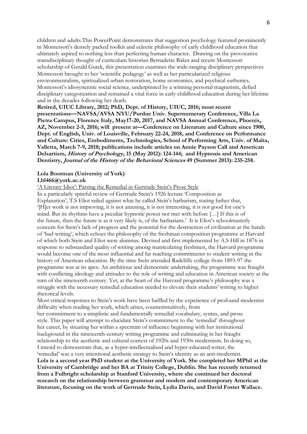children and adults.This PowerPoint demonstrates that suggestion psychology featured prominently in Montessori's densely packed toolkit and eclectic philosophy of early childhood education that ultimately aspired to nothing less than perfecting human character. Drawing on the provocative transdisciplinary thought of curriculum historian Bernadette Baker and recent Montessori scholarship of Gerald Gutek, this presentation examines the wide-ranging disciplinary perspectives Montessori brought to her 'scientific pedagogy' as well as her particularized religious environmentalism, spiritualized urban restoration, home economics, and psychical euthenics. Montessori's idiosyncratic social science, underpinned by a winning personal magnetism, defied disciplinary categorization and remained a vital force in early childhood education during her lifetime and in the decades following her death.

**Retired, UIUC Library, 2012; PhD, Dept. of History, UIUC, 2016; most recent presentations—NAVSA/AVSA NYU/Purdue Univ. Supernumerary Conference, Villa La Pietra Campus, Florence Italy, May17-20, 2017, and NAVSA Annual Conference, Phoenix, AZ, November 2-5, 2016; will present at—Conference on Literature and Culture since 1900, Dept. of English, Univ. of Louisville, February 22-24, 2018, and Conference on Performance and Culture: Cities, Embodiments, Technologies, School of Performing Arts, Univ. of Malta, Valletta, March 7-9, 2018; publications include articles on Annie Payson Call and American Delsartism, History of Psychology, 15 (May 2012): 124-144; and Hypnosis and American Dentistry, Journal of the History of the Behavioral Sciences 49 (Summer 2013): 235-258.**

# **Lola Boorman (University of York)**

#### **Lbl466@york.ac.uk**

'A Literary Idiot': Parsing the Remedial in Gertrude Stein's Prose Style

In a particularly spiteful review of Gertrude Stein's 1926 lecture 'Composition as Explanation', T.S Eliot railed against what he called Stein's barbarism, stating futher that, '[H]er work is not improving, it is not amusing, it is not interesting, it is not good for one's mind. But its rhythms have a peculiar hypnotic power not met with before […] If this is of the future, then the future is as it very likely is, of the barbarians.' It is Eliot's schoolmasterly concern for Stein's lack of progress and the potential for the destruction of civilization at the hands of 'bad writing', which echoes the philosophy of the freshman composition programme at Harvard of which both Stein and Eliot were alumnus. Devised and first implemented by A.S Hill in 1876 in response to substandard quality of writing among matriculating freshmen, the Harvard programme would become one of the most influential and far reaching commitments to student writing in the history of American education. By the time Stein attended Radcliffe college from 1893-97 the programme was at its apex. An ambitious and democratic undertaking, the programme was fraught with conflicting ideology and attitudes to the role of writing and education in American society at the turn of the nineteenth century. Yet, at the heart of the Harvard programme's philosophy was a struggle with the necessary remedial education needed to elevate their students' writing to higher rhetorical levels.

Most critical responses to Stein's work have been baffled by the experience of profound modernist difficulty when reading her work, which arises, counterintuitively, from

her commitment to a simplistic and fundamentally remedial vocabulary, syntax, and prose style. This paper will attempt to elucidate Stein's commitment to the 'remedial' throughout her career, by situating her within a spectrum of influence beginning with her institutional background in the nineteenth-century writing programme and culminating in her fraught relationship to the aesthetic and cultural context of 1920s and 1930s modernism. In doing so, I intend to demonstrate that, as a hyper-intellectualised and hyper-educated writer, the 'remedial' was a very intentional aesthetic strategy to Stein's identity as an anti-modernist.

**Lola is a second year PhD student at the University of York. She completed her MPhil at the University of Cambridge and her BA at Trinity College, Dublin. She has recently returned from a Fulbright scholarship at Stanford University, where she continued her doctoral research on the relationship between grammar and modern and contemporary American literature, focusing on the work of Gertrude Stein, Lydia Davis, and David Foster Wallace.**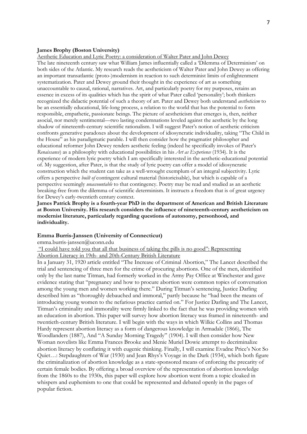#### **James Brophy (Boston University)**

Aesthetic Education and Lyric Poetry: a consideration of Walter Pater and John Dewey

The late nineteenth century saw what William James influentially called a 'Dilemma of Determinism' on both sides of the Atlantic. My research reads the aestheticism of Walter Pater and John Dewey as offering an important transatlantic (proto-)modernism in reaction to such determinist limits of enlightenment systematization. Pater and Dewey ground their thought in the experience of art as something unaccountable to causal, rational, narratives. Art, and particularly poetry for my purposes, retains an essence in excess of its qualities which has the spirit of what Pater called 'personality'; both thinkers recognized the didactic potential of such a theory of art. Pater and Dewey both understand *aestheticism* to be an essentially educational, life-long process, a relation to the world that has the potential to form responsible, empathetic, passionate beings. The picture of aestheticism that emerges is, then, neither asocial, nor merely sentimental—two lasting condemnations leveled against the aesthetic by the long shadow of nineteenth-century scientific rationalism. I will suggest Pater's notion of aesthetic criticism confronts generative paradoxes about the development of idiosyncratic individuality, taking "The Child in the House" as his paradigmatic parable. I will then consider how the pragmatist philosopher and educational reformer John Dewey renders aesthetic feeling (indeed he specifically invokes of Pater's *Renaissance*) as a philosophy with educational possibilities in his *Art as Experience* (1934). It is the experience of modern lyric poetry which I am specifically interested in the aesthetic-educational potential of. My suggestion, after Pater, is that the study of lyric poetry can offer a model of idiosyncratic construction which the student can take as a well-wrought exemplum of an integral subjectivity. Lyric offers a perspective *built of* contingent cultural material (historicisable), but which is capable of a perspective seemingly *unaccountable* to that contingency. Poetry may be read and studied as an aesthetic breaking-free from the dilemma of scientific determinism. It instructs a freedom that is of great urgency for Dewey's early-twentieth century context.

**James Patrick Brophy is a fourth-year PhD in the department of American and British Literature at Boston University. His research considers the influence of nineteenth-century aestheticism on modernist literature, particularly regarding questions of autonomy, personhood, and individuality.**

#### **Emma Burris-Janssen (University of Connecticut)**

emma.burris-janssen@uconn.edu

"I could have told you that all that business of taking the pills is no good": Representing Abortion Literacy in 19th- and 20th-Century British Literature

In a January 31, 1920 article entitled "The Increase of Criminal Abortion," The Lancet described the trial and sentencing of three men for the crime of procuring abortions. One of the men, identified only by the last name Titman, had formerly worked in the Army Pay Office at Winchester and gave evidence stating that "pregnancy and how to procure abortion were common topics of conversation among the young men and women working there." During Titman's sentencing, Justice Darling described him as "thoroughly debauched and immoral," partly because he "had been the means of introducing young women to the nefarious practice carried on." For Justice Darling and The Lancet, Titman's criminality and immorality were firmly linked to the fact that he was providing women with an education in abortion. This paper will survey how abortion literacy was framed in nineteenth- and twentieth-century British literature. I will begin with the ways in which Wilkie Collins and Thomas Hardy represent abortion literacy as a form of dangerous knowledge in Armadale (1866), The Woodlanders (1887), And "A Sunday Morning Tragedy" (1904). I will then consider how New Woman novelists like Emma Frances Brooke and Menie Muriel Dowie attempt to decriminalize abortion literacy by conflating it with eugenic thinking. Finally, I will examine Evadne Price's Not So Quiet…: Stepdaughters of War (1930) and Jean Rhys's Voyage in the Dark (1934), which both figure the criminalization of abortion knowledge as a state-sponsored means of enforcing the precarity of certain female bodies. By offering a broad overview of the representation of abortion knowledge from the 1860s to the 1930s, this paper will explore how abortion went from a topic cloaked in whispers and euphemism to one that could be represented and debated openly in the pages of popular fiction.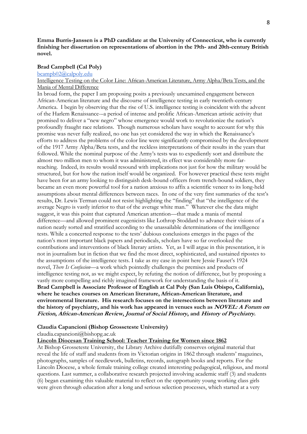## **Emma Burris-Janssen is a PhD candidate at the University of Connecticut, who is currently finishing her dissertation on representations of abortion in the 19th- and 20th-century British novel.**

## **Brad Campbell (Cal Poly)**

[bcampb02@calpoly.edu](mailto:bcampb02@calpoly.edu)

## Intelligence Testing on the Color Line: African-American Literature, Army Alpha/Beta Tests, and the Mania of Mental Difference

In broad form, the paper I am proposing posits a previously unexamined engagement between African-American literature and the discourse of intelligence testing in early twentieth-century America. I begin by observing that the rise of U.S. intelligence testing is coincident with the advent of the Harlem Renaissance-–a period of intense and prolific African-American artistic activity that promised to deliver a "new negro" whose emergence would work to revolutionize the nation's profoundly fraught race relations. Though numerous scholars have sought to account for why this promise was never fully realized, no one has yet considered the way in which the Renaissance's efforts to address the problems of the color line were significantly compromised by the development of the 1917 Army Alpha/Beta tests, and the reckless interpretations of their results in the years that followed. While the nominal purpose of the Army's tests was to expediently sort and distribute the almost two million men to whom it was administered, its effect was considerably more farreaching. Indeed, its results would resound with implications not just for how the military would be structured, but for how the nation itself would be organized. For however practical these tests might have been for an army looking to distinguish desk-bound officers from trench-bound soldiers, they became an even more powerful tool for a nation anxious to affix a scientific veneer to its long-held assumptions about mental differences between races. In one of the very first summaries of the test's results, Dr. Lewis Terman could not resist highlighting the "finding" that "the intelligence of the average Negro is vastly inferior to that of the average white man." Whatever else the data might suggest, it was this point that captured American attention—that made a mania of mental difference—and allowed prominent eugenicists like Lothrop Stoddard to advance their visions of a nation neatly sorted and stratified according to the unassailable determinations of the intelligence tests. While a concerted response to the tests' dubious conclusions emerges in the pages of the nation's most important black papers and periodicals, scholars have so far overlooked the contributions and interventions of black literary artists. Yet, as I will argue in this presentation, it is not in journalism but in fiction that we find the most direct, sophisticated, and sustained ripostes to the assumptions of the intelligence tests. I take as my case in point here Jessie Fauset's 1924 novel, *There Is Confusion*—a work which pointedly challenges the premises and products of intelligence testing not, as we might expect, by refuting the notion of difference, but by proposing a vastly more compelling and richly imagined framework for understanding the basis of it. **Brad Campbell is Associate Professor of English at Cal Poly (San Luis Obispo, California), where he teaches courses on American literature, African-American literature, and environmental literature. His research focuses on the intersections between literature and the history of psychiatry, and his work has appeared in venues such as NOVEL: A Forum on Fiction, African-American Review, Journal of Social History, and History of Psychiatry.**

#### **Claudia Capancioni (Bishop Grosseteste University)**

[claudia.capancioni@bishopg.ac.uk](mailto:claudia.capancioni@bishopg.ac.uk)

#### **Lincoln Diocesan Training School: Teacher Training for Women since 1862**

At Bishop Grosseteste University, the Library Archive dutifully conserves original material that reveal the life of staff and students from its Victorian origins in 1862 through students' magazines, photographs, samples of needlework, bulletins, records, autograph books and reports. For the Lincoln Diocese, a whole female training college created interesting pedagogical, religious, and moral questions. Last summer, a collaborative research projected involving academic staff (3) and students (6) began examining this valuable material to reflect on the opportunity young working class girls were given through education after a long and serious selection processes, which started at a very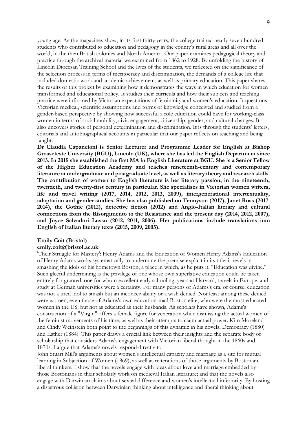young age. As the magazines show, in its first thirty years, the college trained nearly seven hundred students who contributed to education and pedagogy in the county's rural areas and all over the world, in the then British colonies and North America. Our paper examines pedagogical theory and practice through the archival material we examined from 1862 to 1928. By unfolding the history of Lincoln Diocesan Training School and the lives of the students, we reflected on the significance of the selection process in terms of meritocracy and discrimination, the demands of a college life that included domestic work and academic achievement, as well as primary education. This paper shares the results of this project by examining how it demonstrates the ways in which education for women transformed and educational policy. It studies their curricula and how their subjects and teaching practice were informed by Victorian expectations of femininity and women's education. It questions Victorian medical, scientific assumptions and forms of knowledge conceived and studied from a gender-based perspective by showing how successful a role education could have for working-class women in terms of social mobility, civic engagement, citizenship, gender, and cultural changes. It also uncovers stories of personal determination and discrimination. It is through the students' letters, editorials and autobiographical accounts in particular that our paper reflects on teaching and being taught.

**Dr Claudia Capancioni is Senior Lecturer and Programme Leader for English at Bishop Grosseteste University (BGU), Lincoln (UK), where she has led the English Department since 2013. In 2015 she established the first MA in English Literature at BGU. She is a Senior Fellow of the Higher Education Academy and teaches nineteenth-century and contemporary literature at undergraduate and postgraduate level, as well as literary theory and research skills. The contribution of women to English literature is her literary passion, in the nineteenth, twentieth, and twenty-first century in particular. She specialises in Victorian women writers, life and travel writing (2017, 2014, 2012, 2013, 2009), intergenerational intertextuality, adaptation and gender studies. She has also published on Tennyson (2017), Janet Ross (2017. 2014), the Gothic (2012), detective fiction (2012) and Anglo-Italian literary and cultural connections from the Risorgimento to the Resistance and the present day (2014, 2012, 2007), and Joyce Salvadori Lussu (2012, 2011, 2006). Her publications include translations into English of Italian literary texts (2015, 2009, 2005).**

#### **Emily Coit (Bristol)**

#### **emily.coit@bristol.ac.uk**

'Their Struggle for Mastery': Henry Adams and the Education of Women'Henry Adams's Education of Henry Adams works systematically to undermine the premise explicit in its title: it revels in smashing the idols of his hometown Boston, a place in which, as he puts it, "Education was divine." Such gleeful undermining is the privilege of one whose own superlative education could be taken entirely for granted: one for whom excellent early schooling, years at Harvard, travels in Europe, and study at German universities were a certainty. For many persons of Adams's era, of course, education was not a tired idol to smash but an inconceivability or a wish denied. Not least among these denied were women, even those of Adams's own education-mad Boston elite, who were the most educated women in the US, but not as educated as their husbands. As scholars have shown, Adams's construction of a "Virgin" offers a female figure for veneration while dismissing the actual women of the feminist movements of his time, as well as their attempts to claim actual power. Kim Moreland and Cindy Weinstein both point to the beginnings of this dynamic in his novels, Democracy (1880) and Esther (1884). This paper draws a crucial link between their insights and the separate body of scholarship that considers Adams's engagement with Victorian liberal thought in the 1860s and 1870s. I argue that Adams's novels respond directly to

John Stuart Mill's arguments about women's intellectual capacity and marriage as a site for mutual learning in Subjection of Women (1869), as well as reiterations of those arguments by Bostonian liberal thinkers. I show that the novels engage with ideas about love and marriage embedded by those Bostonians in their scholarly work on medieval Italian literature; and that the novels also engage with Darwinian claims about sexual difference and women's intellectual inferiority. By hosting a disastrous collision between Darwinian thinking about intelligence and liberal thinking about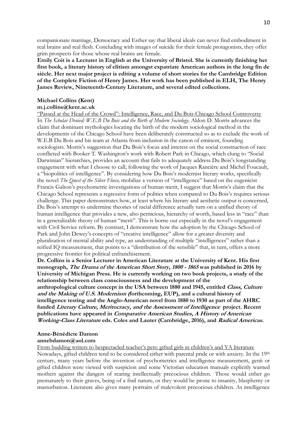companionate marriage, Democracy and Esther say that liberal ideals can never find embodiment in real brains and real flesh. Concluding with images of suicide for their female protagonists, they offer grim prospects for those whose real brains are female.

**Emily Coit is a Lecturer in English at the University of Bristol. She is currently finishing her first book, a literary history of elitism amongst expatriate American authors in the long fin de siècle. Her next major project is editing a volume of short stories for the Cambridge Edition of the Complete Fiction of Henry James. Her work has been published in ELH, The Henry James Review, Nineteenth-Century Literature, and several edited collections.**

#### **Michael Collins (Kent)**

## **m.j.collins@kent.ac.uk**

"Passed at the Head of the Crowd": Intelligence, Race, and Du Bois-Chicago School Controversy In *The Scholar Denied: W.E.B Du Bois and the Birth of Modern Sociology,* Aldon D. Morris advances the claim that dominant mythologies locating the birth of the modern sociological method in the developments of the Chicago School have been deliberately constructed so as to exclude the work of W.E.B Du Bois and his team at Atlanta from inclusion in the canon of eminent, founding sociologists. Morris's suggestion that Du Bois's focus and interest on the social construction of race conflicted with Booker T. Washington's work with Robert Park in Chicago, which clung to "Social Darwinian" hierarchies, provides an account that fails to adequately address Du Bois's longstanding engagement with what I choose to call, following the work of Jacques Rancière and Michel Foucault, a "biopolitics of intelligence". By considering how Du Bois's modernist literary works, specifically the novel *The Quest of the Silver Fleece,* mobilize a version of "intelligence" based on the eugenicist Francis Galton's psychometric investigations of human merit, I suggest that Morris's claim that the Chicago School represents a regressive form of politics when compared to Du Bois's requires serious challenge. This paper demonstrates how, at least where his literary and aesthetic output is concerned, Du Bois's attempt to undermine theories of racial difference actually turn on a unified theory of human intelligence that provides a new, also pernicious, hierarchy of worth, based less in "race" than in a generalizable theory of human "merit". This is borne out especially in the novel's engagement with Civil Service reform. By contrast, I demonstrate how the adoption by the Chicago School of Park and John Dewey's concepts of "creative intelligence" allow for a greater diversity and pluralisation of mental ability and type, an understanding of multiple "intelligences" rather than a reified IQ measurement, that points to a "distribution of the sensible" that, in turn, offers a more progressive frontier for political enfranchisement.

**Dr. Collins is a Senior Lecturer in American Literature at the University of Kent. His first monograph, The Drama of the American Short Story, 1800 - <sup>1865</sup> was published in 2016 by University of Michigan Press. He is currently working on two book projects, a study of the relationship between class consciousness and the development of the** 

**anthropological culture concept in the USA between 1880 and 1945, entitled Class, Culture and the Making of U.S. Modernism (forthcoming, EUP), and a cultural history of intelligence testing and the Anglo-American novel from 1880 to 1930 as part of the AHRC funded Literary Culture, Meritocracy, and the Assessment of Intelligence project. Recent publications have appeared in Comparative American Studies, A History of American Working-Class Literature eds. Coles and Lauter (Cambridge, 2016), and Radical Americas.**

#### **Anne-Bénédicte Damon [annebdamon@aol.com](mailto:annebdamon@aol.com)**

From budding writers to bespectacled teacher's pets: gifted girls in children's and YA literature

Nowadays, gifted children tend to be considered either with parental pride or with anxiety. In the 19th century, many years before the invention of psychometrics and intelligence measurement, genii or gifted children were viewed with suspicion and some Victorian education manuals explicitly warned mothers against the dangers of rearing intellectually precocious children. Those would either go prematurely to their graves, being of a frail nature, or they would be prone to insanity, blasphemy or masturbation. Literature also gives many portraits of malevolent precocious children. As intelligence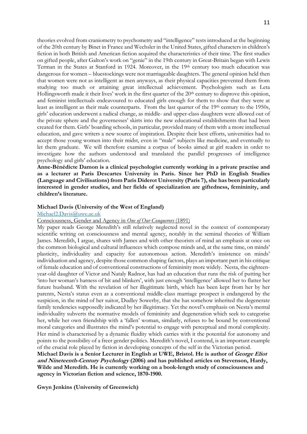theories evolved from craniometry to psychometry and "intelligence" tests introduced at the beginning of the 20th century by Binet in France and Wechsler in the United States, gifted characters in children's fiction in both British and American fiction acquired the characteristics of their time. The first studies on gifted people, after Galton's work on "genie" in the 19th century in Great-Britain began with Lewis Terman in the States at Stanford in 1924. Moreover, in the 19th century too much education was dangerous for women – bluestockings were not marriageable daughters. The general opinion held then that women were not as intelligent as men anyways, as their physical capacities prevented them from studying too much or attaining great intellectual achievement. Psychologists such as Leta Hollingsworth made it their lives' work in the first quarter of the  $20<sup>th</sup>$  century to disprove this opinion, and feminist intellectuals endeavoured to educated girls enough for them to show that they were at least as intelligent as their male counterparts. From the last quarter of the 19<sup>th</sup> century to the 1950s, girls' education underwent a radical change, as middle- and upper-class daughters were allowed out of the private sphere and the governesses' skirts into the new educational establishments that had been created for them. Girls' boarding schools, in particular, provided many of them with a more intellectual education, and gave writers a new source of inspiration. Despite their best efforts, universities had to accept those young women into their midst, even in "male" subjects like medicine, and eventually to let them graduate. We will therefore examine a corpus of books aimed at girl readers in order to investigate how the authors understood and translated the parallel progresses of intelligence psychology and girls' education.

**Anne-Bénédicte Damon is a clinical psychologist currently working in a private practise and as a lecturer at Paris Descartes University in Paris. Since her PhD in English Studies (Language and Civilisations) from Paris Diderot University (Paris 7), she has been particularly interested in gender studies, and her fields of specialization are giftedness, femininity, and children's literature.**

#### **Michael Davis (University of the West of England)**

#### [Michael2.Davis@uwe.ac.uk](mailto:Michael2.Davis@uwe.ac.uk)

Consciousness, Gender and Agency in *One of Our Conquerors* (1891)

My paper reads George Meredith's still relatively neglected novel in the context of contemporary scientific writing on consciousness and mental agency, notably in the seminal theories of William James. Meredith, I argue, shares with James and with other theorists of mind an emphasis at once on the common biological and cultural influences which compose minds and, at the same time, on minds' plasticity, individuality and capacity for autonomous action. Meredith's insistence on minds' individuation and agency, despite those common shaping factors, plays an important part in his critique of female education and of conventional constructions of femininity more widely. Nesta, the eighteenyear-old daughter of Victor and Nataly Radnor, has had an education that runs the risk of putting her 'into her woman's harness of bit and blinkers', with just enough 'intelligence' allowed her to flatter her future husband. With the revelation of her illegitimate birth, which has been kept from her by her parents, Nesta's status even as a conventional middle-class marriage prospect is endangered by the suspicion, in the mind of her suitor, Dudley Sowerby, that she has somehow inherited the degenerate family tendencies supposedly indicated by her illegitimacy. Yet the novel's emphasis on Nesta's mental individuality subverts the normative models of femininity and degeneration which seek to categorise her, while her own friendship with a 'fallen' woman, similarly, refuses to be bound by conventional moral categories and illustrates the mind's potential to engage with perceptual and moral complexity. Her mind is characterised by a dynamic fluidity which carries with it the potential for autonomy and points to the possibility of a freer gender politics. Meredith's novel, I contend, is an important example of the crucial role played by fiction in developing concepts of the self in the Victorian period.

**Michael Davis is a Senior Lecturer in English at UWE, Bristol. He is author of George Eliot and Nineteenth-Century Psychology (2006) and has published articles on Stevenson, Hardy, Wilde and Meredith. He is currently working on a book-length study of consciousness and agency in Victorian fiction and science, 1870-1900.** 

**Gwyn Jenkins (University of Greenwich)**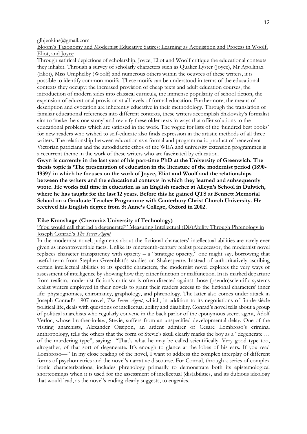[glhjenkins@gmail.com](mailto:glhjenkins@gmail.com)

Bloom's Taxonomy and Modernist Educative Satires: Learning as Acquisition and Process in Woolf, Eliot, and Joyce

Through satirical depictions of scholarship, Joyce, Eliot and Woolf critique the educational contexts they inhabit. Through a survey of scholarly characters such as Quaker Lyster (Joyce), Mr Apollinax (Eliot), Miss Umphelby (Woolf) and numerous others within the oeuvres of these writers, it is possible to identify common motifs. These motifs can be understood in terms of the educational contexts they occupy: the increased provision of cheap texts and adult education courses, the introduction of modern sides into classical curricula, the immense popularity of school fiction, the expansion of educational provision at all levels of formal education. Furthermore, the means of description and evocation are inherently educative in their methodology. Through the translation of familiar educational references into different contexts, these writers accomplish Shklovsky's formalist aim to 'make the stone stony' and revivify these older texts in ways that offer solutions to the educational problems which are satirised in the work. The vogue for lists of the 'hundred best books' for new readers who wished to self-educate also finds expression in the artistic methods of all three writers. The relationship between education as a formal and programmatic product of benevolent Victorian patricians and the autodidactic ethos of the WEA and university extension programmes is a recurrent theme in the work of these writers who are fascinated by education.

**Gwyn is currently in the last year of his part-time PhD at the University of Greenwich. The thesis topic is 'The presentation of education in the literature of the modernist period (1890- 1939)' in which he focuses on the work of Joyce, Eliot and Woolf and the relationships between the writers and the educational contexts in which they learned and subsequently wrote. He works full time in education as an English teacher at Alleyn's School in Dulwich, where he has taught for the last 12 years. Before this he gained QTS at Bennett Memorial School on a Graduate Teacher Programme with Canterbury Christ Church University. He received his English degree from St Anne's College, Oxford in 2002.**

#### **Eike Kronshage (Chemnitz University of Technology)**

"You would call that lad a degenerate?" Measuring Intellectual (Dis)Ability Through Phrenology in Joseph Conrad's *The Secret Agent*

In the modernist novel, judgments about the fictional characters' intellectual abilities are rarely ever given as incontrovertible facts. Unlike its nineteenth-century realist predecessor, the modernist novel replaces character transparency with opacity – a "strategic opacity," one might say, borrowing that useful term from Stephen Greenblatt's studies on Shakespeare. Instead of authoritatively ascribing certain intellectual abilities to its specific characters, the modernist novel explores the very ways of assessment of intelligence by showing how they either function or malfunction. In its marked departure from realism, modernist fiction's criticism is often directed against those (pseudo)scientific systems realist writers employed in their novels to grant their readers access to the fictional characters' inner life: physiognomics, chiromancy, graphology, and phrenology. The latter also comes under attack in Joseph Conrad's 1907 novel, *The Secret Agent*, which, in addition to its negotiations of fin-de-siècle political life, deals with questions of intellectual ability and disability. Conrad's novel tells about a group of political anarchists who regularly convene in the back parlor of the eponymous secret agent, Adolf Verloc, whose brother-in-law, Stevie, suffers from an unspecified developmental delay. One of the visiting anarchists, Alexander Ossipon, an ardent admirer of Cesare Lombroso's criminal anthropology, tells the others that the form of Stevie's skull clearly marks the boy as a "degenerate … of the murdering type", saying: "That's what he may be called scientifically. Very good type too, altogether, of that sort of degenerate. It's enough to glance at the lobes of his ears. If you read Lombroso—" In my close reading of the novel, I want to address the complex interplay of different forms of psychometrics and the novel's narrative discourse. For Conrad, through a series of complex ironic characterizations, includes phrenology primarily to demonstrate both its epistemological shortcomings when it is used for the assessment of intellectual (dis)abilities, and its dubious ideology that would lead, as the novel's ending clearly suggests, to eugenics.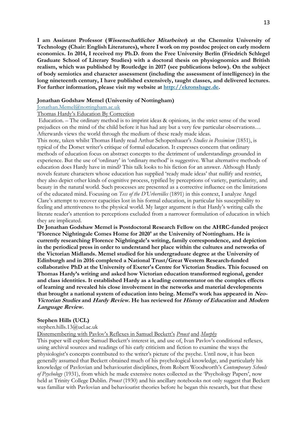**I am Assistant Professor (Wissenschaftlicher Mitarbeiter) at the Chemnitz University of Technology (Chair: English Literatures), where I work on my postdoc project on early modern economics. In 2014, I received my Ph.D. from the Free University Berlin (Friedrich Schlegel Graduate School of Literary Studies) with a doctoral thesis on physiognomics and British realism, which was published by Routledge in 2017 (see publications below). On the subject of body semiotics and character assessment (including the assessment of intelligence) in the long nineteenth century, I have published extensively, taught classes, and delivered lectures. For further information, please visit my website at [http://ekronshage.de.](http://ekronshage.de/)** 

#### **Jonathan Godshaw Memel (University of Nottingham)**

[Jonathan.Memel@nottingham.ac.uk](mailto:Jonathan.Memel@nottingham.ac.uk)

#### Thomas Hardy's Education By Correction

Education. – The ordinary method is to imprint ideas & opinions, in the strict sense of the word prejudices on the mind of the child before it has had any but a very few particular observations… Afterwards views the world through the medium of these ready made ideas.

This note, taken whilst Thomas Hardy read Arthur Schopenhauer's *Studies in Pessimism* (1851), is typical of the Dorset writer's critique of formal education. It expresses concern that ordinary methods of education focus on abstract concepts to the detriment of understandings grounded in experience. But the use of 'ordinary' in 'ordinary method' is suggestive. What alternative methods of education does Hardy have in mind? This talk looks to his fiction for an answer. Although Hardy novels feature characters whose education has supplied 'ready made ideas' that nullify and restrict, they also depict other kinds of cognitive process, typified by perceptions of variety, particularity, and beauty in the natural world. Such processes are presented as a corrective influence on the limitations of the educated mind. Focusing on *Tess of the D'Urbervilles* (1891) in this context, I analyze Angel Clare's attempt to recover capacities lost in his formal education, in particular his susceptibility to feeling and attentiveness to the physical world. My larger argument is that Hardy's writing calls the literate reader's attention to perceptions excluded from a narrower formulation of education in which they are implicated.

**Dr Jonathan Godshaw Memel is Postdoctoral Research Fellow on the AHRC-funded project 'Florence Nightingale Comes Home for 2020' at the University of Nottingham. He is currently researching Florence Nightingale's writing, family correspondence, and depiction in the periodical press in order to understand her place within the cultures and networks of the Victorian Midlands. Memel studied for his undergraduate degree at the University of Edinburgh and in 2016 completed a National Trust/Great Western Research-funded collaborative PhD at the University of Exeter's Centre for Victorian Studies. This focused on Thomas Hardy's writing and asked how Victorian education transformed regional, gender and class identities. It established Hardy as a leading commentator on the complex effects of learning and revealed his close involvement in the networks and material developments that brought a national system of education into being. Memel's work has appeared in Neo-Victorian Studies and Hardy Review. He has reviewed for History of Education and Modern Language Review.**

#### **Stephen Hills (UCL)**

stephen.hills.13@ucl.ac.uk

Disremembering with Pavlov's Reflexes in Samuel Beckett's *Proust* and *Murphy*

This paper will explore Samuel Beckett's interest in, and use of, Ivan Pavlov's conditional reflexes, using archival sources and readings of his early criticism and fiction to examine the ways the physiologist's concepts contributed to the writer's picture of the psyche. Until now, it has been generally assumed that Beckett obtained much of his psychological knowledge, and particularly his knowledge of Pavlovian and behaviourist disciplines, from Robert Woodworth's *Contemporary Schools of Psychology* (1931), from which he made extensive notes collected as the 'Psychology Papers', now held at Trinity College Dublin. *Proust* (1930) and his ancillary notebooks not only suggest that Beckett was familiar with Pavlovian and behaviourist theories before he began this research, but that these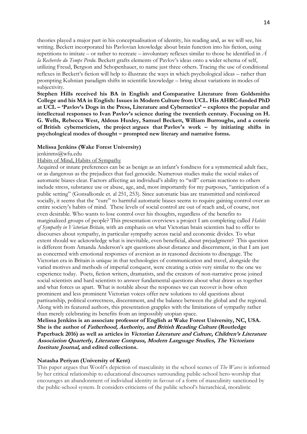theories played a major part in his conceptualisation of identity, his reading and, as we will see, his writing. Beckett incorporated his Pavlovian knowledge about brain function into his fiction, using repetitions to imitate – or rather to recreate – involuntary reflexes similar to those he identified in *Á la Recherche du Temps Perdu*. Beckett grafts elements of Pavlov's ideas onto a wider schema of self, utilizing Freud, Bergson and Schopenhauer, to name just three others. Tracing the use of conditional reflexes in Beckett's fiction will help to illustrate the ways in which psychological ideas – rather than prompting Kuhnian paradigm shifts in scientific knowledge – bring about variations in modes of subjectivity.

**Stephen Hills received his BA in English and Comparative Literature from Goldsmiths College and his MA in English: Issues in Modern Culture from UCL. His AHRC-funded PhD at UCL – 'Pavlov's Dogs in the Press, Literature and Cybernetics' – explores the popular and intellectual responses to Ivan Pavlov's science during the twentieth century. Focusing on H. G. Wells, Rebecca West, Aldous Huxley, Samuel Beckett, William Burroughs, and a coterie of British cyberneticists, the project argues that Pavlov's work – by initiating shifts in psychological modes of thought – prompted new literary and narrative forms.**

#### **Melissa Jenkins (Wake Forest University)**

jenkinms@wfu.edu

### Habits of Mind, Habits of Sympathy

Acquired or innate preferences can be as benign as an infant's fondness for a symmetrical adult face, or as dangerous as the prejudices that fuel genocide. Numerous studies make the social stakes of automatic biases clear. Factors affecting an individual's ability to "will" certain reactions to others include stress, substance use or abuse, age, and, most importantly for my purposes, "anticipation of a public setting" (Gonsalkorale et. al 251, 253). Since automatic bias are transmitted and reinforced socially, it seems that the "cure" to harmful automatic biases seems to require gaining control over an entire society's habits of mind. These levels of social control are out of reach and, of course, not even desirable. Who wants to lose control over his thoughts, regardless of the benefits to marginalized groups of people? This presentation overviews a project I am completing called *Habits of Sympathy in Victorian Britain,* with an emphasis on what Victorian brain scientists had to offer to discourses about sympathy, in particular sympathy across racial and economic divides. To what extent should we acknowledge what is inevitable, even beneficial, about prejudgment? This question is different from Amanda Anderson's apt questions about distance and discernment, in that I am just as concerned with emotional responses of aversion as in reasoned decisions to disengage. The Victorian era in Britain is unique in that technologies of communication and travel, alongside the varied motives and methods of imperial conquest, were creating a crisis very similar to the one we experience today. Poets, fiction writers, dramatists, and the creators of non-narrative prose joined social scientists and hard scientists to answer fundamental questions about what draws us together and what forces us apart. What is notable about the responses we can recover is how often prominent and less prominent Victorian voices offer new solutions to old questions about partisanship, political correctness, discernment, and the balance between the global and the regional. Along with its featured authors, this presentation grapples with the limitations of sympathy rather than merely celebrating its benefits from an impossibly utopian space.

**Melissa Jenkins is an associate professor of English at Wake Forest University, NC, USA. She is the author of Fatherhood, Authority, and British Reading Culture (Routledge Paperback 2016) as well as articles in Victorian Literature and Culture, Children's Literature Association Quarterly, Literature Compass, Modern Language Studies, The Victorians Institute Journal, and edited collections.** 

#### **Natasha Periyan (University of Kent)**

This paper argues that Woolf's depiction of masculinity in the school scenes of *The Waves* is informed by her critical relationship to educational discourses surrounding public-school hero-worship that encourages an abandonment of individual identity in favour of a form of masculinity sanctioned by the public-school system. It considers criticisms of the public school's hierarchical, moralistic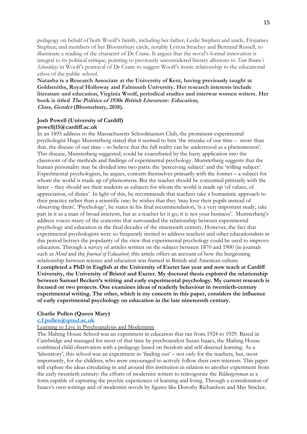pedagogy on behalf of both Woolf's family, including her father, Leslie Stephen and uncle, Fitzjames Stephen; and members of her Bloomsbury circle, notably Lytton Strachey and Bertrand Russell, to illuminate a reading of the character of Dr Crane. It argues that the novel's formal innovation is integral to its political critique, pointing to previously unconsidered literary allusions to *Tom Brown's Schooldays* in Woolf's portrayal of Dr Crane to suggest Woolf's ironic relationship to the educational ethos of the public school.

**Natasha is a Research Associate at the University of Kent, having previously taught at Goldsmiths, Royal Holloway and Falmouth University. Her research interests include literature and education, Virginia Woolf, periodical studies and interwar women writers. Her book is titled The Politics of 1930s British Literature: Education, Class, Gender (Bloomsbury, 2018).**

## **Josh Powell (University of Cardiff) powellj15@cardiff.ac.uk**

In an 1895 address to the Massachusetts Schoolmasters Club, the prominent experimental psychologist Hugo Munsterberg stated that it seemed to him 'the mistake of our time – more than that, the disease of our time – to believe that the full reality can be understood as a phenomenon'. This disease, Munsterberg suggested, could be exacerbated by the hasty application into the classroom of the methods and findings of experimental psychology. Munsterberg suggests that the human personality may be divided into two parts: the 'perceiving subject' and the 'willing subject'. Experimental psychologists, he argues, concern themselves primarily with the former – a subject for whom the world is made up of phenomena. But the teacher should be concerned primarily with the latter – they should see their students as subjects for whom the world is made up 'of values, of appreciation, of duties'. In light of this, he recommends that teachers take a humanistic approach to their practice rather than a scientific one: he wishes that they 'may love their pupils instead of observing them'. 'Psychology', he states in his final recommendation, 'is a very important study, take part in it as a man of broad interests, but as a teacher let it go, it is not your business'. Munsterberg's address voices many of the concerns that surrounded the relationship between experimental psychology and education in the final decades of the nineteenth century. However, the fact that experimental psychologists were so frequently invited to address teachers and other educationalists in this period betrays the popularity of the view that experimental psychology could be used to improve education. Through a survey of articles written on the subject between 1870 and 1900 (in journals such as *Mind* and the *Journal of Education*) this article offers an account of how the burgeoning relationship between science and education was framed in British and American culture. **I completed a PhD in English at the University of Exeter last year and now teach at Cardiff University, the University of Bristol and Exeter. My doctoral thesis explored the relationship between Samuel Beckett's writing and early experimental psychology. My current research is focused on two projects. One examines ideas of readerly behaviour in twentieth-century experimental writing. The other, which is my concern in this paper, considers the influence of early experimental psychology on education in the late nineteenth century.**

## **Charlie Pullen (Queen Mary)**

## **[c.f.pullen@qmul.ac.uk](mailto:c.f.pullen@qmul.ac.uk)**

## Learning to Live in Psychoanalysis and Modernism

The Malting House School was an experiment in education that ran from 1924 to 1929. Based in Cambridge and managed for most of that time by psychoanalyst Susan Isaacs, the Malting House combined child observation with a pedagogy based on freedom and self-directed learning. As a 'laboratory', this school was an experiment in 'finding out' – not only for the teachers, but, most importantly, for the children, who were encouraged to actively follow their own interests. This paper will explore the ideas circulating in and around this institution in relation to another experiment from the early twentieth century: the efforts of modernist writers to reinvigorate the *Bildungsroman* as a form capable of capturing the psychic experiences of learning and living. Through a consideration of Isaacs's own writings and of modernist novels by figures like Dorothy Richardson and May Sinclair,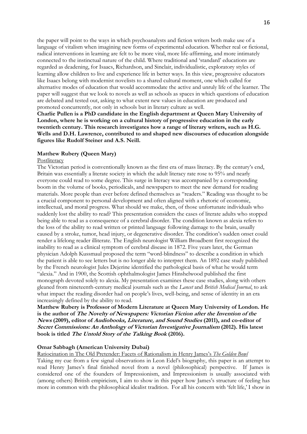the paper will point to the ways in which psychoanalysts and fiction writers both make use of a language of vitalism when imagining new forms of experimental education. Whether real or fictional, radical interventions in learning are felt to be more vital, more life-affirming, and more intimately connected to the instinctual nature of the child. Where traditional and 'standard' educations are regarded as deadening, for Isaacs, Richardson, and Sinclair, individualistic, exploratory styles of learning allow children to live and experience life in better ways. In this view, progressive educators like Isaacs belong with modernist novelists to a shared cultural moment, one which called for alternative modes of education that would accommodate the active and unruly life of the learner. The paper will suggest that we look to novels as well as schools as spaces in which questions of education are debated and tested out, asking to what extent new values in education are produced and promoted concurrently, not only in schools but in literary culture as well.

**Charlie Pullen is a PhD candidate in the English department at Queen Mary University of London, where he is working on a cultural history of progressive education in the early twentieth century. This research investigates how a range of literary writers, such as H.G. Wells and D.H. Lawrence, contributed to and shaped new discourses of education alongside figures like Rudolf Steiner and A.S. Neill.** 

### **Matthew Rubery (Queen Mary)**

#### **Postliteracy**

The Victorian period is conventionally known as the first era of mass literacy. By the century's end, Britain was essentially a literate society in which the adult literacy rate rose to 95% and nearly everyone could read to some degree. This surge in literacy was accompanied by a corresponding boom in the volume of books, periodicals, and newspapers to meet the new demand for reading materials. More people than ever before defined themselves as "readers." Reading was thought to be a crucial component to personal development and often aligned with a rhetoric of economic, intellectual, and moral progress. What should we make, then, of those unfortunate individuals who suddenly lost the ability to read? This presentation considers the cases of literate adults who stopped being able to read as a consequence of a cerebral disorder. The condition known as alexia refers to the loss of the ability to read written or printed language following damage to the brain, usually caused by a stroke, tumor, head injury, or degenerative disorder. The condition's sudden onset could render a lifelong reader illiterate. The English neurologist William Broadbent first recognized the inability to read as a clinical symptom of cerebral disease in 1872. Five years later, the German physician Adolph Kussmaul proposed the term "word-blindness" to describe a condition in which the patient is able to see letters but is no longer able to interpret them. An 1892 case study published by the French neurologist Jules Dejerine identified the pathological basis of what he would term "alexia." And in 1900, the Scottish ophthalmologist James Hinshelwood published the first monograph devoted solely to alexia. My presentation examines these case studies, along with others gleaned from nineteenth-century medical journals such as the *Lancet* and *British Medical Journal*, to ask what impact the reading disorder had on people's lives, well-being, and sense of identity in an era increasingly defined by the ability to read.

**Matthew Rubery is Professor of Modern Literature at Queen Mary University of London. He is the author of The Novelty of Newspapers: Victorian Fiction after the Invention of the News (2009), editor of Audiobooks, Literature, and Sound Studies (2011), and co-editor of Secret Commissions: An Anthology of Victorian Investigative Journalism (2012). His latest book is titled The Untold Story of the Talking Book (2016).**

#### **Omar Sabbagh (American University Dubai)**

Ratiocination in The Old Pretender: Facets of Rationalism in Henry James's *The Golden Bowl*

Taking my cue from a few signal observations in Leon Edel's biography, this paper is an attempt to read Henry James's final finished novel from a novel (philosophical) perspective. If James is considered one of the founders of Impressionism, and Impressionism is usually associated with (among others) British empiricism, I aim to show in this paper how James's structure of feeling has more in common with the philosophical idealist tradition. For all his concern with 'felt life,' I show in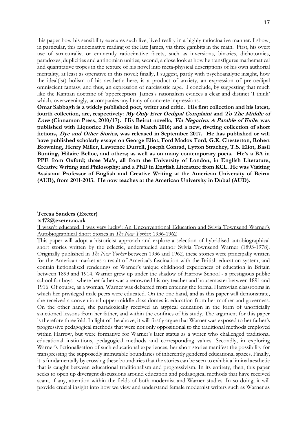this paper how his sensibility executes such live, lived reality in a highly ratiocinative manner. I show, in particular, this ratiocinative reading of the late James, via three gambits in the main. First, his overt use of structuralist or eminently ratiocinative facets, such as inversions, binaries, dichotomies, paradoxes, duplicities and antinomian unities; second, a close look at how he transfigures mathematical and quantitative tropes in the texture of his novel into meta-physical descriptions of his own authorial mentality, at least as operative in this novel; finally, I suggest, partly with psychoanalytic insight, how the ideal(ist) holism of his aesthetic here, is a product of anxiety, an expression of pre-oedipal omniscient fantasy, and thus, an expression of narcissistic rage. I conclude, by suggesting that much like the Kantian doctrine of 'apperception' James's rationalism evinces a clear and distinct 'I think' which, overweeningly, accompanies any litany of concrete impressions.

**Omar Sabbagh is a widely published poet, writer and critic. His first collection and his latest, fourth collection, are, respectively: My Only Ever Oedipal Complaint and To The Middle of Love (Cinnamon Press, 2010/17). His Beirut novella, Via Negativa: A Parable of Exile, was published with Liquorice Fish Books in March 2016; and a new, riveting collection of short fictions, Dye and Other Stories, was released in September 2017. He has published or will have published scholarly essays on George Eliot, Ford Madox Ford, G.K. Chesterton, Robert Browning, Henry Miller, Lawrence Durrell, Joseph Conrad, Lytton Strachey, T.S. Eliot, Basil Bunting, Hilaire Belloc, and others; as well as on many contemporary poets. He's a BA in PPE from Oxford; three Ma's, all from the University of London, in English Literature, Creative Writing and Philosophy; and a PhD in English Literature from KCL. He was Visiting Assistant Professor of English and Creative Writing at the American University of Beirut (AUB), from 2011-2013. He now teaches at the American University in Dubai (AUD).**

## **Teresa Sanders (Exeter)**

**ts472@exeter.ac.uk**

'I wasn't educated, I was very lucky': An Unconventional Education and Sylvia Townsend Warner's Autobiographical Short Stories in *The New Yorker,* 1936-1962

This paper will adopt a historicist approach and explore a selection of hybridised autobiographical short stories written by the eclectic, understudied author Sylvia Townsend Warner (1893-1978). Originally published in *The New Yorker* between 1936 and 1962*,* these stories were principally written for the American market as a result of America's fascination with the British education system, and contain fictionalised renderings of Warner's unique childhood experiences of education in Britain between 1893 and 1914. Warner grew up under the shadow of Harrow School - a prestigious public school for boys - where her father was a renowned history teacher and housemaster between 1891 and 1916. Of course, as a woman, Warner was debarred from entering the formal Harrovian classrooms in which her privileged male peers were educated. On the one hand, and as this paper will demonstrate, she received a conventional upper-middle class domestic education from her mother and governess. On the other hand, she paradoxically received an atypical education in the form of unofficially sanctioned lessons from her father, and within the confines of his study. The argument for this paper is therefore threefold. In light of the above, it will firstly argue that Warner was exposed to her father's progressive pedagogical methods that were not only oppositional to the traditional methods employed within Harrow, but were formative for Warner's later status as a writer who challenged traditional educational institutions, pedagogical methods and corresponding values. Secondly, in exploring Warner's fictionalisation of such educational experiences, her short stories manifest the possibility for transgressing the supposedly immutable boundaries of inherently gendered educational spaces. Finally, it is fundamentally by crossing these boundaries that the stories can be seen to exhibit a liminal aesthetic that is caught between educational traditionalism and progressivism. In its entirety, then, this paper seeks to open up divergent discussions around education and pedagogical methods that have received scant, if any, attention within the fields of both modernist and Warner studies. In so doing, it will provide crucial insight into how we view and understand female modernist writers such as Warner as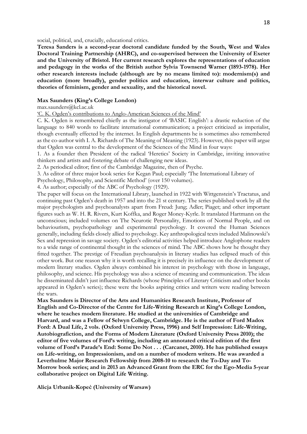social, political, and, crucially, educational critics.

**Teresa Sanders is a second-year doctoral candidate funded by the South, West and Wales Doctoral Training Partnership (AHRC), and co-supervised between the University of Exeter and the University of Bristol. Her current research explores the representations of education and pedagogy in the works of the British author Sylvia Townsend Warner (1893-1978). Her other research interests include (although are by no means limited to): modernism(s) and education (more broadly), gender politics and education, interwar culture and politics, theories of feminism, gender and sexuality, and the historical novel.**

#### **Max Saunders (King's College London)**

max.saunders@kcl.ac.uk

'C. K. Ogden's contributions to Anglo-American Sciences of the Mind'

C. K. Ogden is remembered chiefly as the instigator of 'BASIC English': a drastic reduction of the language to 840 words to facilitate international communication; a project criticized as imperialist, though eventually effected by the internet. In English departments he is sometimes also remembered as the co-author with I. A. Richards of The Meaning of Meaning (1923). However, this paper will argue that Ogden was central to the development of the Sciences of the Mind in four ways:

1. As a founder then President of the radical 'Heretics' Society in Cambridge, inviting innovative thinkers and artists and fostering debate of challenging new ideas.

2. As periodical editor; first of the Cambridge Magazine, then of Psyche.

3. As editor of three major book series for Kegan Paul; especially 'The International Library of

Psychology, Philosophy, and Scientific Method' (over 150 volumes).

4. As author; especially of the ABC of Psychology (1929).

The paper will focus on the International Library, launched in 1922 with Wittgenstein's Tractatus, and continuing past Ogden's death in 1957 and into the 21 st century. The series published work by all the major psychologists and psychoanalysts apart from Freud: Jung; Adler; Piaget; and other important figures such as W. H. R. Rivers, Kurt Koffka, and Roger Money-Kyrle. It translated Hartmann on the unconscious; included volumes on The Neurotic Personality, Emotions of Normal People, and on behaviourism, psychopathology and experimental psychology. It covered the Human Sciences generally, including fields closely allied to psychology. Key anthropological texts included Malinowski's Sex and repression in savage society. Ogden's editorial activities helped introduce Anglophone readers to a wide range of continental thought in the sciences of mind. The ABC shows how he thought they fitted together. The prestige of Freudian psychoanalysis in literary studies has eclipsed much of this other work. But one reason why it is worth recalling it is precisely its influence on the development of modern literary studies. Ogden always combined his interest in psychology with those in language, philosophy, and science. His psychology was also a science of meaning and communication. The ideas he disseminated didn't just influence Richards (whose Principles of Literary Criticism and other books appeared in Ogden's series); these were the books aspiring critics and writers were reading between the wars.

**Max Saunders is Director of the Arts and Humanities Research Institute, Professor of English and Co-Director of the Centre for Life-Writing Research at King's College London, where he teaches modern literature. He studied at the universities of Cambridge and Harvard, and was a Fellow of Selwyn College, Cambridge. He is the author of Ford Madox Ford: A Dual Life, 2 vols. (Oxford University Press, 1996) and Self Impression: Life-Writing, Autobiografiction, and the Forms of Modern Literature (Oxford University Press 2010); the editor of five volumes of Ford's writing, including an annotated critical edition of the first volume of Ford's Parade's End: Some Do Not . . . (Carcanet, 2010). He has published essays on Life-writing, on Impressionism, and on a number of modern writers. He was awarded a Leverhulme Major Research Fellowship from 2008-10 to research the To-Day and To-Morrow book series; and in 2013 an Advanced Grant from the ERC for the Ego-Media 5-year collaborative project on Digital Life Writing.**

**Alicja Urbanik-Kopeć (University of Warsaw)**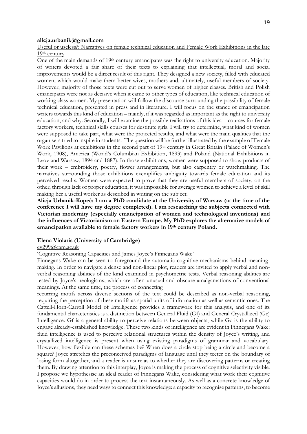#### **alicja.urbanik@gmail.com**

Useful or useless?: Narratives on female technical education and Female Work Exhibitions in the late 19th century

One of the main demands of 19<sup>th</sup> century emancipates was the right to university education. Majority of writers devoted a fair share of their texts to explaining that intellectual, moral and social improvements would be a direct result of this right. They designed a new society, filled with educated women, which would make them better wives, mothers and, ultimately, useful members of society. However, majority of those texts were cut out to serve women of higher classes. British and Polish emancipates were not as decisive when it came to other types of education, like technical education of working class women. My presentation will follow the discourse surrounding the possibility of female technical education, presented in press and in literature. I will focus on the stance of emancipation writers towards this kind of education – mainly, if it was regarded as important as the right to university education, and why. Secondly, I will examine the possible realisations of this idea - courses for female factory workers, technical skills courses for destitute girls. I will try to determine, what kind of women were supposed to take part, what were the projected results, and what were the main qualities that the organisers tried to inspire in students. The question will be further illustrated by the example of Female Work Pavilions at exhibitions in the second part of 19<sup>th</sup> century in Great Britain (Palace of Women's Work, 1908), America (World's Columbian Exhibition, 1893) and Poland (National Exhibitions in Lvov and Warsaw, 1894 and 1887). In those exhibitions, women were supposed to show products of their work – embroidery, poetry, flower arrangements, but also carpentry or watchmaking. The narratives surrounding those exhibitions exemplifies ambiguity towards female education and its perceived results. Women were expected to prove that they are useful members of society, on the other, through lack of proper education, it was impossible for average women to achieve a level of skill making her a useful worker as described in writing on the subject.

**Alicja Urbanik-Kopeć: I am a PhD candidate at the University of Warsaw (at the time of the conference I will have my degree completed). I am researching the subjects connected with Victorian modernity (especially emancipation of women and technological inventions) and the influences of Victorianism on Eastern Europe. My PhD explores the alternative models of emancipation available to female factory workers in 19th century Poland.** 

### **Elena Violaris (University of Cambridge)**

#### [ev299@cam.ac.uk](mailto:ev299@cam.ac.uk)

## 'Cognitive Reasoning Capacities and James Joyce's Finnegans Wake'

Finnegans Wake can be seen to foreground the automatic cognitive mechanisms behind meaningmaking. In order to navigate a dense and non-linear plot, readers are invited to apply verbal and nonverbal reasoning abilities of the kind examined in psychometric tests. Verbal reasoning abilities are tested by Joyce's neologisms, which are often unusual and obscure amalgamations of conventional meanings. At the same time, the process of connecting

recurring motifs across diverse sections of the text could be described as non-verbal reasoning, requiring the perception of these motifs as spatial units of information as well as semantic ones. The Cattell-Horn-Carroll Model of Intelligence provides a framework for this analysis, and one of its fundamental characteristics is a distinction between General Fluid (Gf) and General Crystallized (Gc) Intelligence. Gf is a general ability to perceive relations between objects, while Gc is the ability to engage already-established knowledge. These two kinds of intelligence are evident in Finnegans Wake: fluid intelligence is used to perceive relational structures within the density of Joyce's writing, and crystallized intelligence is present when using existing paradigms of grammar and vocabulary. However, how flexible can these schemas be? When does a circle stop being a circle and become a square? Joyce stretches the preconceived paradigms of language until they teeter on the boundary of losing form altogether, and a reader is unsure as to whether they are discovering patterns or creating them. By drawing attention to this interplay, Joyce is making the process of cognitive selectivity visible. I propose we hypothesise an ideal reader of Finnegans Wake, considering what work their cognitive capacities would do in order to process the text instantaneously. As well as a concrete knowledge of Joyce's allusions, they need ways to connect this knowledge: a capacity to recognise patterns, to become